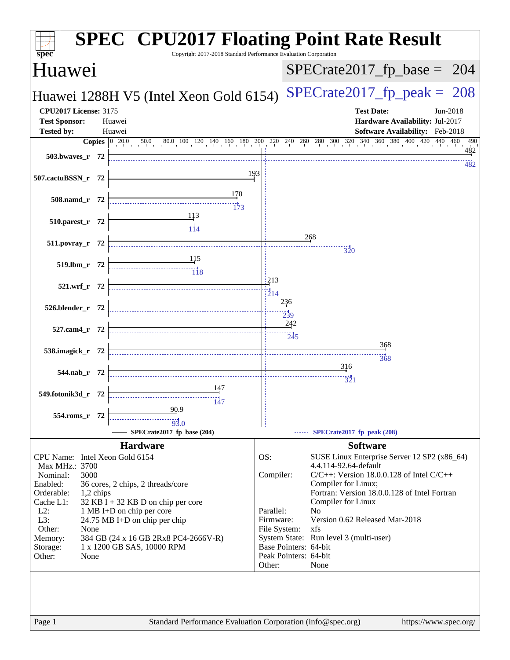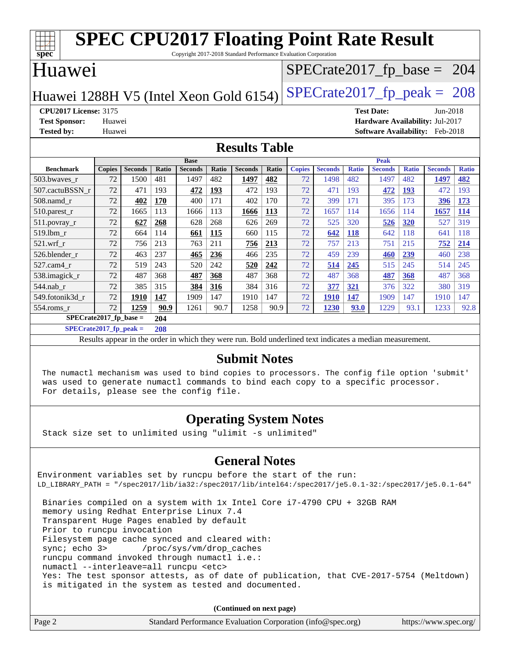|                                        |        | <b>SPEC CPU2017 Floating Point Rate Result</b> |       | Copyright 2017-2018 Standard Performance Evaluation Corporation |              |                      |              |               |                               |              |                                        |              |                |              |
|----------------------------------------|--------|------------------------------------------------|-------|-----------------------------------------------------------------|--------------|----------------------|--------------|---------------|-------------------------------|--------------|----------------------------------------|--------------|----------------|--------------|
| $spec^*$<br>Huawei                     |        |                                                |       |                                                                 |              |                      |              |               | $SPECTate2017_fp\_base = 204$ |              |                                        |              |                |              |
| Huawei 1288H V5 (Intel Xeon Gold 6154) |        |                                                |       |                                                                 |              |                      |              |               | $SPECTate2017$ _fp_peak = 208 |              |                                        |              |                |              |
| <b>CPU2017 License: 3175</b>           |        |                                                |       |                                                                 |              |                      |              |               |                               |              | <b>Test Date:</b>                      |              | Jun-2018       |              |
| <b>Test Sponsor:</b>                   | Huawei |                                                |       |                                                                 |              |                      |              |               |                               |              | <b>Hardware Availability: Jul-2017</b> |              |                |              |
| <b>Tested by:</b>                      | Huawei |                                                |       |                                                                 |              |                      |              |               |                               |              | <b>Software Availability:</b> Feb-2018 |              |                |              |
|                                        |        |                                                |       |                                                                 |              | <b>Results Table</b> |              |               |                               |              |                                        |              |                |              |
|                                        |        |                                                |       | <b>Base</b>                                                     |              |                      |              |               |                               |              | <b>Peak</b>                            |              |                |              |
| <b>Benchmark</b>                       | Copies | <b>Seconds</b>                                 | Ratio | <b>Seconds</b>                                                  | <b>Ratio</b> | <b>Seconds</b>       | <b>Ratio</b> | <b>Copies</b> | <b>Seconds</b>                | <b>Ratio</b> | <b>Seconds</b>                         | <b>Ratio</b> | <b>Seconds</b> | <b>Ratio</b> |
| 503.bwayes r                           | 72     | 1500                                           | 481   | 1497                                                            | 482          | 1497                 | 482          | 72            | 1498                          | 482          | 1497                                   | 482          | 1497           | 482          |
| 507.cactuBSSN r                        | 72     | 471                                            | 193   | 472                                                             | 193          | 472                  | 193          | 72            | 471                           | 193          | 472                                    | 193          | 472            | 193          |
| 508.namd r                             | 72     | 402                                            | 170   | 400                                                             | 171          | 402                  | 170          | 72            | 399                           | 171          | 395                                    | 173          | 396            | 173          |
| 510.parest_r                           | 72     | 1665                                           | 113   | 1666                                                            | 113          | 1666                 | 113          | 72            | 1657                          | 114          | 1656                                   | 114          | 1657           | 114          |
| $511$ .povray r                        | 72     | 627                                            | 268   | 628                                                             | 268          | 626                  | 269          | 72            | 525                           | 320          | 526                                    | 320          | 527            | 319          |
| 519.1bm r                              | 72     | 664                                            | 114   | 661                                                             | 115          | 660                  | 115          | 72            | 642                           | 118          | 642                                    | 118          | 641            | 118          |
| $521$ .wrf r                           | 72     | 756                                            | 213   | 763                                                             | 211          | 756                  | 213          | 72            | 757                           | 213          | 751                                    | 215          | 752            | 214          |
| 526.blender r                          | 72     | 463                                            | 237   | 465                                                             | 236          | 466                  | 235          | 72            | 459                           | 239          | 460                                    | 239          | 460            | 238          |
| 527.cam4_r                             | 72     | 519                                            | 243   | 520                                                             | 242          | 520                  | 242          | 72            | 514                           | 245          | 515                                    | 245          | 514            | 245          |
| 538.imagick_r                          | 72     | 487                                            | 368   | 487                                                             | 368          | 487                  | 368          | 72            | 487                           | 368          | 487                                    | 368          | 487            | 368          |
| 544.nab r                              | 72     | 385                                            | 315   | 384                                                             | 316          | 384                  | 316          | 72            | 377                           | 321          | 376                                    | 322          | 380            | 319          |
| 549.fotonik3d r                        | 72     | 1910                                           | 147   | 1909                                                            | 147          | 1910                 | 147          | 72            | <b>1910</b>                   | 147          | 1909                                   | 147          | 1910           | 147          |
| 554.roms_r                             | 72     | 1259                                           | 90.9  | 1261                                                            | 90.7         | 1258                 | 90.9         | 72            | 1230                          | 93.0         | 1229                                   | 93.1         | 1233           | 92.8         |

**[SPECrate2017\\_fp\\_base =](http://www.spec.org/auto/cpu2017/Docs/result-fields.html#SPECrate2017fpbase) 204 [SPECrate2017\\_fp\\_peak =](http://www.spec.org/auto/cpu2017/Docs/result-fields.html#SPECrate2017fppeak) 208**

Results appear in the [order in which they were run.](http://www.spec.org/auto/cpu2017/Docs/result-fields.html#RunOrder) Bold underlined text [indicates a median measurement.](http://www.spec.org/auto/cpu2017/Docs/result-fields.html#Median)

#### **[Submit Notes](http://www.spec.org/auto/cpu2017/Docs/result-fields.html#SubmitNotes)**

 The numactl mechanism was used to bind copies to processors. The config file option 'submit' was used to generate numactl commands to bind each copy to a specific processor. For details, please see the config file.

### **[Operating System Notes](http://www.spec.org/auto/cpu2017/Docs/result-fields.html#OperatingSystemNotes)**

Stack size set to unlimited using "ulimit -s unlimited"

#### **[General Notes](http://www.spec.org/auto/cpu2017/Docs/result-fields.html#GeneralNotes)**

Environment variables set by runcpu before the start of the run: LD\_LIBRARY\_PATH = "/spec2017/lib/ia32:/spec2017/lib/intel64:/spec2017/je5.0.1-32:/spec2017/je5.0.1-64" Binaries compiled on a system with 1x Intel Core i7-4790 CPU + 32GB RAM memory using Redhat Enterprise Linux 7.4

 Transparent Huge Pages enabled by default Prior to runcpu invocation Filesystem page cache synced and cleared with: sync; echo 3> /proc/sys/vm/drop\_caches runcpu command invoked through numactl i.e.: numactl --interleave=all runcpu <etc> Yes: The test sponsor attests, as of date of publication, that CVE-2017-5754 (Meltdown) is mitigated in the system as tested and documented.

**(Continued on next page)**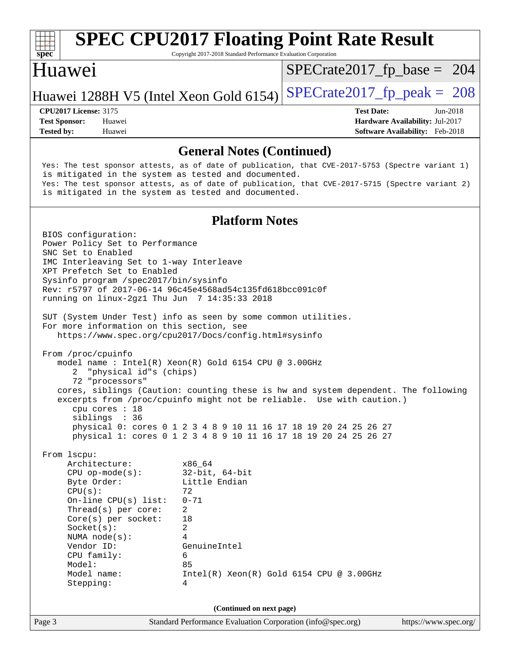

# **[SPEC CPU2017 Floating Point Rate Result](http://www.spec.org/auto/cpu2017/Docs/result-fields.html#SPECCPU2017FloatingPointRateResult)**

Copyright 2017-2018 Standard Performance Evaluation Corporation

### Huawei

[SPECrate2017\\_fp\\_base =](http://www.spec.org/auto/cpu2017/Docs/result-fields.html#SPECrate2017fpbase) 204

### Huawei 1288H V5 (Intel Xeon Gold 6154) SPECrate  $2017$  fp peak = 208

**[Tested by:](http://www.spec.org/auto/cpu2017/Docs/result-fields.html#Testedby)** Huawei **[Software Availability:](http://www.spec.org/auto/cpu2017/Docs/result-fields.html#SoftwareAvailability)** Feb-2018

**[CPU2017 License:](http://www.spec.org/auto/cpu2017/Docs/result-fields.html#CPU2017License)** 3175 **[Test Date:](http://www.spec.org/auto/cpu2017/Docs/result-fields.html#TestDate)** Jun-2018 **[Test Sponsor:](http://www.spec.org/auto/cpu2017/Docs/result-fields.html#TestSponsor)** Huawei **[Hardware Availability:](http://www.spec.org/auto/cpu2017/Docs/result-fields.html#HardwareAvailability)** Jul-2017

**[General Notes \(Continued\)](http://www.spec.org/auto/cpu2017/Docs/result-fields.html#GeneralNotes)** Yes: The test sponsor attests, as of date of publication, that CVE-2017-5753 (Spectre variant 1) is mitigated in the system as tested and documented. Yes: The test sponsor attests, as of date of publication, that CVE-2017-5715 (Spectre variant 2) is mitigated in the system as tested and documented. **[Platform Notes](http://www.spec.org/auto/cpu2017/Docs/result-fields.html#PlatformNotes)** BIOS configuration: Power Policy Set to Performance SNC Set to Enabled IMC Interleaving Set to 1-way Interleave XPT Prefetch Set to Enabled Sysinfo program /spec2017/bin/sysinfo Rev: r5797 of 2017-06-14 96c45e4568ad54c135fd618bcc091c0f running on linux-2gz1 Thu Jun 7 14:35:33 2018 SUT (System Under Test) info as seen by some common utilities. For more information on this section, see <https://www.spec.org/cpu2017/Docs/config.html#sysinfo> From /proc/cpuinfo model name : Intel(R) Xeon(R) Gold 6154 CPU @ 3.00GHz 2 "physical id"s (chips) 72 "processors" cores, siblings (Caution: counting these is hw and system dependent. The following excerpts from /proc/cpuinfo might not be reliable. Use with caution.) cpu cores : 18 siblings : 36 physical 0: cores 0 1 2 3 4 8 9 10 11 16 17 18 19 20 24 25 26 27 physical 1: cores 0 1 2 3 4 8 9 10 11 16 17 18 19 20 24 25 26 27 From lscpu: Architecture: x86\_64 CPU op-mode(s): 32-bit, 64-bit Byte Order: Little Endian  $CPU(s):$  72 On-line CPU(s) list: 0-71 Thread(s) per core: 2 Core(s) per socket: 18 Socket(s): 2 NUMA node(s): 4 Vendor ID: GenuineIntel CPU family: 6 Model: 85 Model name: Intel(R) Xeon(R) Gold 6154 CPU @ 3.00GHz Stepping: 4 **(Continued on next page)**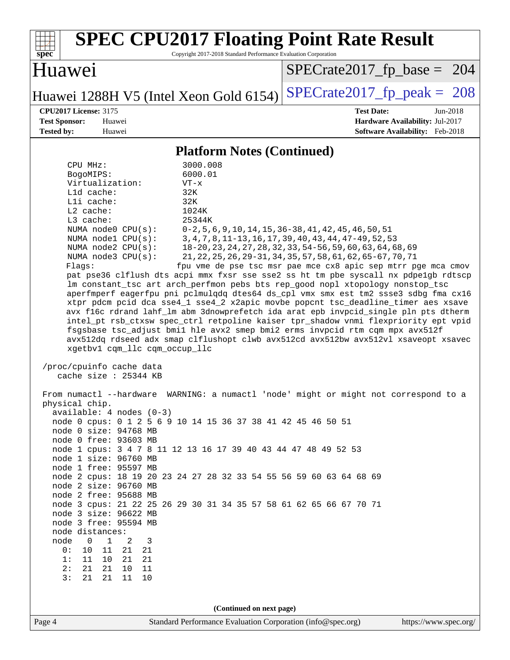| <b>SPEC CPU2017 Floating Point Rate Result</b><br>Copyright 2017-2018 Standard Performance Evaluation Corporation<br>$spec^*$                                                                                                                                                                                                                                                                                                                                                                                                                                                                                                                                                                                                                                                                                                                                                                                                                                                                                                                                                                                                                                                                                                                                                                                                                                                                                                                                                                                                                                                                                                                                                                                                                                                                                                                                                                             |                                                                                                                                                                                                                                                                                                                        |
|-----------------------------------------------------------------------------------------------------------------------------------------------------------------------------------------------------------------------------------------------------------------------------------------------------------------------------------------------------------------------------------------------------------------------------------------------------------------------------------------------------------------------------------------------------------------------------------------------------------------------------------------------------------------------------------------------------------------------------------------------------------------------------------------------------------------------------------------------------------------------------------------------------------------------------------------------------------------------------------------------------------------------------------------------------------------------------------------------------------------------------------------------------------------------------------------------------------------------------------------------------------------------------------------------------------------------------------------------------------------------------------------------------------------------------------------------------------------------------------------------------------------------------------------------------------------------------------------------------------------------------------------------------------------------------------------------------------------------------------------------------------------------------------------------------------------------------------------------------------------------------------------------------------|------------------------------------------------------------------------------------------------------------------------------------------------------------------------------------------------------------------------------------------------------------------------------------------------------------------------|
| Huawei                                                                                                                                                                                                                                                                                                                                                                                                                                                                                                                                                                                                                                                                                                                                                                                                                                                                                                                                                                                                                                                                                                                                                                                                                                                                                                                                                                                                                                                                                                                                                                                                                                                                                                                                                                                                                                                                                                    | $SPECrate2017_fp\_base = 204$                                                                                                                                                                                                                                                                                          |
| Huawei 1288H V5 (Intel Xeon Gold 6154)                                                                                                                                                                                                                                                                                                                                                                                                                                                                                                                                                                                                                                                                                                                                                                                                                                                                                                                                                                                                                                                                                                                                                                                                                                                                                                                                                                                                                                                                                                                                                                                                                                                                                                                                                                                                                                                                    | $SPECTate2017$ _fp_peak = 208                                                                                                                                                                                                                                                                                          |
| <b>CPU2017 License: 3175</b><br><b>Test Sponsor:</b><br>Huawei<br><b>Tested by:</b><br>Huawei                                                                                                                                                                                                                                                                                                                                                                                                                                                                                                                                                                                                                                                                                                                                                                                                                                                                                                                                                                                                                                                                                                                                                                                                                                                                                                                                                                                                                                                                                                                                                                                                                                                                                                                                                                                                             | <b>Test Date:</b><br>Jun-2018<br>Hardware Availability: Jul-2017<br>Software Availability: Feb-2018                                                                                                                                                                                                                    |
| <b>Platform Notes (Continued)</b>                                                                                                                                                                                                                                                                                                                                                                                                                                                                                                                                                                                                                                                                                                                                                                                                                                                                                                                                                                                                                                                                                                                                                                                                                                                                                                                                                                                                                                                                                                                                                                                                                                                                                                                                                                                                                                                                         |                                                                                                                                                                                                                                                                                                                        |
| CPU MHz:<br>3000.008<br>BogoMIPS:<br>6000.01<br>Virtualization:<br>$VT - x$<br>L1d cache:<br>32K<br>Lli cache:<br>32K<br>$L2$ cache:<br>1024K<br>L3 cache:<br>25344K<br>NUMA node0 CPU(s):<br>NUMA nodel CPU(s):<br>NUMA $node2$ $CPU(s):$<br>NUMA $node3$ $CPU(s):$<br>Flags:<br>pat pse36 clflush dts acpi mmx fxsr sse sse2 ss ht tm pbe syscall nx pdpe1gb rdtscp<br>lm constant_tsc art arch_perfmon pebs bts rep_good nopl xtopology nonstop_tsc<br>aperfmperf eagerfpu pni pclmulqdq dtes64 ds_cpl vmx smx est tm2 ssse3 sdbg fma cx16<br>xtpr pdcm pcid dca sse4_1 sse4_2 x2apic movbe popcnt tsc_deadline_timer aes xsave<br>avx f16c rdrand lahf_lm abm 3dnowprefetch ida arat epb invpcid_single pln pts dtherm<br>intel_pt rsb_ctxsw spec_ctrl retpoline kaiser tpr_shadow vnmi flexpriority ept vpid<br>fsgsbase tsc_adjust bmil hle avx2 smep bmi2 erms invpcid rtm cqm mpx avx512f<br>avx512dq rdseed adx smap clflushopt clwb avx512cd avx512bw avx512vl xsaveopt xsavec<br>xgetbv1 cqm_llc cqm_occup_llc<br>/proc/cpuinfo cache data<br>cache size : 25344 KB<br>From numactl --hardware WARNING: a numactl 'node' might or might not correspond to a<br>physical chip.<br>$available: 4 nodes (0-3)$<br>node 0 cpus: 0 1 2 5 6 9 10 14 15 36 37 38 41 42 45 46 50 51<br>node 0 size: 94768 MB<br>node 0 free: 93603 MB<br>node 1 cpus: 3 4 7 8 11 12 13 16 17 39 40 43 44 47 48 49 52 53<br>node 1 size: 96760 MB<br>node 1 free: 95597 MB<br>node 2 cpus: 18 19 20 23 24 27 28 32 33 54 55 56 59 60 63 64 68 69<br>node 2 size: 96760 MB<br>node 2 free: 95688 MB<br>node 3 cpus: 21 22 25 26 29 30 31 34 35 57 58 61 62 65 66 67 70 71<br>node 3 size: 96622 MB<br>node 3 free: 95594 MB<br>node distances:<br>$\mathbf{1}$<br>2<br>node<br>$\overline{0}$<br>3<br>11<br>0 :<br>10<br>21<br>21<br>11<br>1:<br>10 21<br>21<br>2:<br>21<br>21<br>10<br>11<br>3:<br>21<br>21<br>11<br>10 | $0-2, 5, 6, 9, 10, 14, 15, 36-38, 41, 42, 45, 46, 50, 51$<br>3, 4, 7, 8, 11-13, 16, 17, 39, 40, 43, 44, 47-49, 52, 53<br>18-20, 23, 24, 27, 28, 32, 33, 54-56, 59, 60, 63, 64, 68, 69<br>21, 22, 25, 26, 29-31, 34, 35, 57, 58, 61, 62, 65-67, 70, 71<br>fpu vme de pse tsc msr pae mce cx8 apic sep mtrr pge mca cmov |
| (Continued on next page)                                                                                                                                                                                                                                                                                                                                                                                                                                                                                                                                                                                                                                                                                                                                                                                                                                                                                                                                                                                                                                                                                                                                                                                                                                                                                                                                                                                                                                                                                                                                                                                                                                                                                                                                                                                                                                                                                  |                                                                                                                                                                                                                                                                                                                        |
| Page 4<br>Standard Performance Evaluation Corporation (info@spec.org)                                                                                                                                                                                                                                                                                                                                                                                                                                                                                                                                                                                                                                                                                                                                                                                                                                                                                                                                                                                                                                                                                                                                                                                                                                                                                                                                                                                                                                                                                                                                                                                                                                                                                                                                                                                                                                     | https://www.spec.org/                                                                                                                                                                                                                                                                                                  |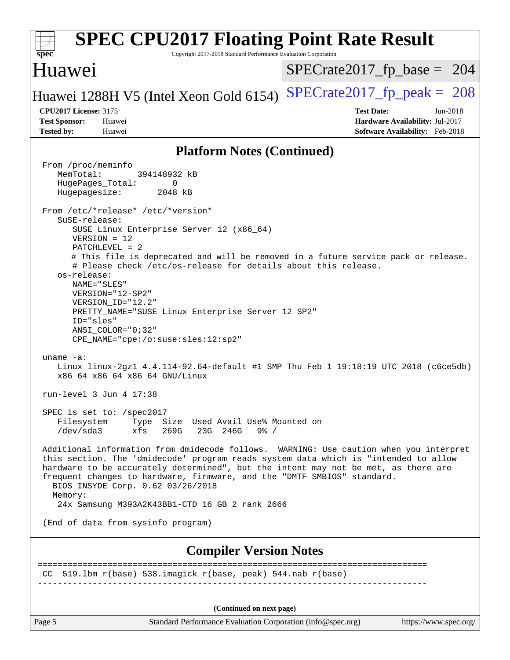| <b>SPEC CPU2017 Floating Point Rate Result</b><br>Copyright 2017-2018 Standard Performance Evaluation Corporation<br>$spec^*$                                                                                                                                                                                                                                                                  |                                                                    |
|------------------------------------------------------------------------------------------------------------------------------------------------------------------------------------------------------------------------------------------------------------------------------------------------------------------------------------------------------------------------------------------------|--------------------------------------------------------------------|
| Huawei                                                                                                                                                                                                                                                                                                                                                                                         | $SPECrate2017_fp\_base = 204$                                      |
| Huawei 1288H V5 (Intel Xeon Gold 6154)                                                                                                                                                                                                                                                                                                                                                         | $SPECrate2017_fp\_peak = 208$                                      |
| <b>CPU2017 License: 3175</b><br><b>Test Sponsor:</b><br>Huawei                                                                                                                                                                                                                                                                                                                                 | <b>Test Date:</b><br>$Jun-2018$<br>Hardware Availability: Jul-2017 |
| <b>Tested by:</b><br>Huawei                                                                                                                                                                                                                                                                                                                                                                    | Software Availability: Feb-2018                                    |
| <b>Platform Notes (Continued)</b>                                                                                                                                                                                                                                                                                                                                                              |                                                                    |
| From /proc/meminfo<br>MemTotal:<br>394148932 kB<br>HugePages_Total:<br>0<br>Hugepagesize:<br>2048 kB                                                                                                                                                                                                                                                                                           |                                                                    |
| From /etc/*release* /etc/*version*<br>SuSE-release:<br>SUSE Linux Enterprise Server 12 (x86_64)<br>$VERSION = 12$<br>$PATCHLEVEL = 2$<br># This file is deprecated and will be removed in a future service pack or release.                                                                                                                                                                    |                                                                    |
| # Please check /etc/os-release for details about this release.<br>os-release:<br>NAME="SLES"<br>$VERSION = "12-SP2"$<br>VERSION_ID="12.2"<br>PRETTY_NAME="SUSE Linux Enterprise Server 12 SP2"<br>ID="sles"<br>$ANSI$ _COLOR=" $0:32$ "<br>CPE_NAME="cpe:/o:suse:sles:12:sp2"                                                                                                                  |                                                                    |
| uname $-a$ :<br>Linux linux-2gz1 4.4.114-92.64-default #1 SMP Thu Feb 1 19:18:19 UTC 2018 (c6ce5db)<br>x86 64 x86 64 x86 64 GNU/Linux                                                                                                                                                                                                                                                          |                                                                    |
| run-level 3 Jun 4 17:38                                                                                                                                                                                                                                                                                                                                                                        |                                                                    |
| SPEC is set to: /spec2017<br>Filesystem Type Size Used Avail Use% Mounted on<br>$/\text{dev/sda}$ 3<br>xfs 269G 23G 246G<br>$9\frac{6}{9}$ /                                                                                                                                                                                                                                                   |                                                                    |
| Additional information from dmidecode follows. WARNING: Use caution when you interpret<br>this section. The 'dmidecode' program reads system data which is "intended to allow<br>hardware to be accurately determined", but the intent may not be met, as there are<br>frequent changes to hardware, firmware, and the "DMTF SMBIOS" standard.<br>BIOS INSYDE Corp. 0.62 03/26/2018<br>Memory: |                                                                    |
| 24x Samsung M393A2K43BB1-CTD 16 GB 2 rank 2666                                                                                                                                                                                                                                                                                                                                                 |                                                                    |
| (End of data from sysinfo program)                                                                                                                                                                                                                                                                                                                                                             |                                                                    |
| <b>Compiler Version Notes</b>                                                                                                                                                                                                                                                                                                                                                                  |                                                                    |
| 519.1bm_r(base) 538.imagick_r(base, peak) 544.nab_r(base)<br>CC                                                                                                                                                                                                                                                                                                                                |                                                                    |
| (Continued on next page)                                                                                                                                                                                                                                                                                                                                                                       |                                                                    |

Page 5 Standard Performance Evaluation Corporation [\(info@spec.org\)](mailto:info@spec.org) <https://www.spec.org/>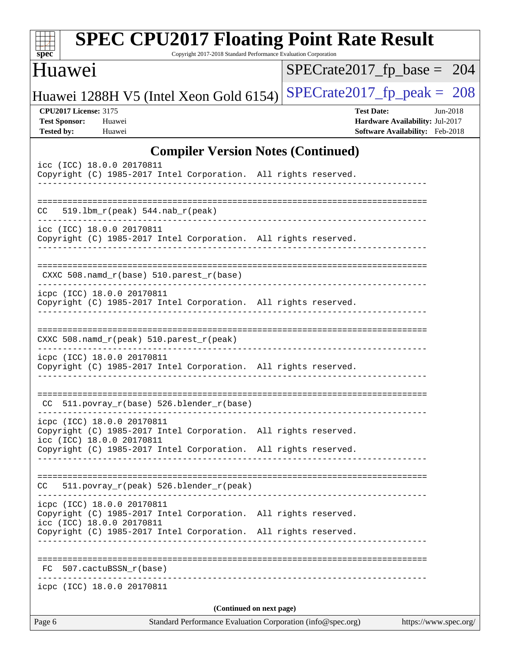| spec                                                                      | <b>SPEC CPU2017 Floating Point Rate Result</b>                                                                             | Copyright 2017-2018 Standard Performance Evaluation Corporation |  |                                                                                         |                       |          |
|---------------------------------------------------------------------------|----------------------------------------------------------------------------------------------------------------------------|-----------------------------------------------------------------|--|-----------------------------------------------------------------------------------------|-----------------------|----------|
| <b>Huawei</b>                                                             |                                                                                                                            |                                                                 |  | $SPECTate2017$ _fp_base = 204                                                           |                       |          |
|                                                                           | Huawei 1288H V5 (Intel Xeon Gold 6154)                                                                                     |                                                                 |  | $SPECTate2017$ _fp_peak = 208                                                           |                       |          |
| <b>CPU2017 License: 3175</b><br><b>Test Sponsor:</b><br><b>Tested by:</b> | Huawei<br>Huawei                                                                                                           |                                                                 |  | <b>Test Date:</b><br>Hardware Availability: Jul-2017<br>Software Availability: Feb-2018 |                       | Jun-2018 |
|                                                                           |                                                                                                                            | <b>Compiler Version Notes (Continued)</b>                       |  |                                                                                         |                       |          |
|                                                                           | icc (ICC) 18.0.0 20170811<br>Copyright (C) 1985-2017 Intel Corporation. All rights reserved.                               |                                                                 |  |                                                                                         |                       |          |
| CC.                                                                       | $519.1bm_r(peak) 544.nab_r(peak)$                                                                                          |                                                                 |  |                                                                                         |                       |          |
|                                                                           | icc (ICC) 18.0.0 20170811<br>Copyright (C) 1985-2017 Intel Corporation. All rights reserved.                               |                                                                 |  |                                                                                         |                       |          |
|                                                                           | $CXXC 508.namd_r(base) 510.parest_r(base)$                                                                                 |                                                                 |  |                                                                                         |                       |          |
|                                                                           | icpc (ICC) 18.0.0 20170811<br>Copyright (C) 1985-2017 Intel Corporation. All rights reserved.                              |                                                                 |  |                                                                                         |                       |          |
|                                                                           | $CXXC 508.namd_r (peak) 510.parest_r (peak)$                                                                               |                                                                 |  |                                                                                         |                       |          |
|                                                                           | icpc (ICC) 18.0.0 20170811<br>Copyright (C) 1985-2017 Intel Corporation. All rights reserved.                              |                                                                 |  |                                                                                         |                       |          |
|                                                                           | CC 511.povray_r(base) 526.blender_r(base)                                                                                  |                                                                 |  |                                                                                         |                       |          |
|                                                                           | icpc (ICC) 18.0.0 20170811<br>Copyright (C) 1985-2017 Intel Corporation. All rights reserved.<br>icc (ICC) 18.0.0 20170811 |                                                                 |  |                                                                                         |                       |          |
|                                                                           | Copyright (C) 1985-2017 Intel Corporation. All rights reserved.                                                            |                                                                 |  |                                                                                         |                       |          |
| CC.                                                                       | 511.povray_r(peak) 526.blender_r(peak)                                                                                     |                                                                 |  |                                                                                         |                       |          |
|                                                                           | icpc (ICC) 18.0.0 20170811<br>Copyright (C) 1985-2017 Intel Corporation. All rights reserved.<br>icc (ICC) 18.0.0 20170811 |                                                                 |  |                                                                                         |                       |          |
|                                                                           | Copyright (C) 1985-2017 Intel Corporation. All rights reserved.                                                            |                                                                 |  |                                                                                         |                       |          |
|                                                                           | FC 507.cactuBSSN_r(base)                                                                                                   |                                                                 |  |                                                                                         |                       |          |
|                                                                           | icpc (ICC) 18.0.0 20170811                                                                                                 |                                                                 |  |                                                                                         |                       |          |
|                                                                           |                                                                                                                            | (Continued on next page)                                        |  |                                                                                         |                       |          |
| Page 6                                                                    |                                                                                                                            | Standard Performance Evaluation Corporation (info@spec.org)     |  |                                                                                         | https://www.spec.org/ |          |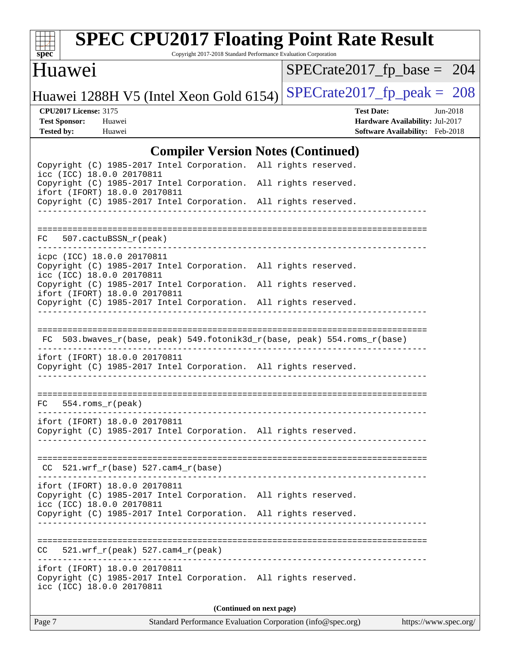

# **[SPEC CPU2017 Floating Point Rate Result](http://www.spec.org/auto/cpu2017/Docs/result-fields.html#SPECCPU2017FloatingPointRateResult)**

Copyright 2017-2018 Standard Performance Evaluation Corporation

### Huawei

[SPECrate2017\\_fp\\_base =](http://www.spec.org/auto/cpu2017/Docs/result-fields.html#SPECrate2017fpbase) 204

Huawei 1288H V5 (Intel Xeon Gold 6154) SPECrate  $2017$  fp peak = 208

**[CPU2017 License:](http://www.spec.org/auto/cpu2017/Docs/result-fields.html#CPU2017License)** 3175 **[Test Date:](http://www.spec.org/auto/cpu2017/Docs/result-fields.html#TestDate)** Jun-2018 **[Test Sponsor:](http://www.spec.org/auto/cpu2017/Docs/result-fields.html#TestSponsor)** Huawei **[Hardware Availability:](http://www.spec.org/auto/cpu2017/Docs/result-fields.html#HardwareAvailability)** Jul-2017 **[Tested by:](http://www.spec.org/auto/cpu2017/Docs/result-fields.html#Testedby)** Huawei **[Software Availability:](http://www.spec.org/auto/cpu2017/Docs/result-fields.html#SoftwareAvailability)** Feb-2018

### [Compiler Version Notes \(Continued\)](http://www.spec.org/auto/cpu2017/Docs/result-fields.html#CompilerVersionNotes)

|                                                                                                                               | Complier version indies (Committed)                                      |
|-------------------------------------------------------------------------------------------------------------------------------|--------------------------------------------------------------------------|
| Copyright (C) 1985-2017 Intel Corporation. All rights reserved.<br>icc (ICC) 18.0.0 20170811                                  |                                                                          |
| Copyright (C) 1985-2017 Intel Corporation. All rights reserved.<br>ifort (IFORT) 18.0.0 20170811                              |                                                                          |
| Copyright (C) 1985-2017 Intel Corporation. All rights reserved.                                                               |                                                                          |
|                                                                                                                               |                                                                          |
| 507.cactuBSSN r(peak)<br>FC                                                                                                   |                                                                          |
| icpc (ICC) 18.0.0 20170811<br>Copyright (C) 1985-2017 Intel Corporation. All rights reserved.<br>icc (ICC) 18.0.0 20170811    |                                                                          |
| Copyright (C) 1985-2017 Intel Corporation. All rights reserved.<br>ifort (IFORT) 18.0.0 20170811                              |                                                                          |
| Copyright (C) 1985-2017 Intel Corporation. All rights reserved.                                                               |                                                                          |
|                                                                                                                               |                                                                          |
|                                                                                                                               | FC 503.bwaves_r(base, peak) 549.fotonik3d_r(base, peak) 554.roms_r(base) |
| ifort (IFORT) 18.0.0 20170811<br>Copyright (C) 1985-2017 Intel Corporation. All rights reserved.                              |                                                                          |
| $FC 554.rows_r (peak)$                                                                                                        |                                                                          |
|                                                                                                                               |                                                                          |
| ifort (IFORT) 18.0.0 20170811<br>Copyright (C) 1985-2017 Intel Corporation. All rights reserved.                              |                                                                          |
|                                                                                                                               |                                                                          |
| $CC$ 521.wrf_r(base) 527.cam4_r(base)                                                                                         |                                                                          |
| ifort (IFORT) 18.0.0 20170811<br>Copyright (C) 1985-2017 Intel Corporation. All rights reserved.<br>icc (ICC) 18.0.0 20170811 |                                                                          |
| Copyright (C) 1985-2017 Intel Corporation. All rights reserved.                                                               |                                                                          |
|                                                                                                                               |                                                                          |
| $521.wrf_r(peak) 527.cam4_r(peak)$<br>CC.                                                                                     |                                                                          |
| ifort (IFORT) 18.0.0 20170811<br>Copyright (C) 1985-2017 Intel Corporation. All rights reserved.<br>icc (ICC) 18.0.0 20170811 |                                                                          |
|                                                                                                                               | (Continued on next page)                                                 |
|                                                                                                                               |                                                                          |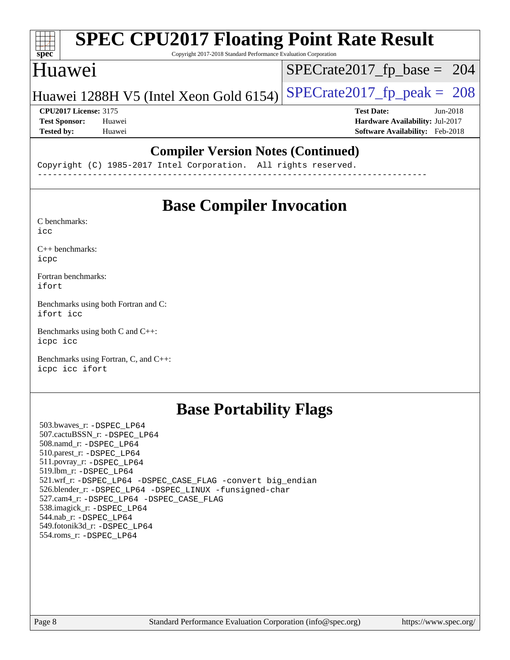#### **[SPEC CPU2017 Floating Point Rate Result](http://www.spec.org/auto/cpu2017/Docs/result-fields.html#SPECCPU2017FloatingPointRateResult)**  $+\ +$ **[spec](http://www.spec.org/)** Copyright 2017-2018 Standard Performance Evaluation Corporation Huawei [SPECrate2017\\_fp\\_base =](http://www.spec.org/auto/cpu2017/Docs/result-fields.html#SPECrate2017fpbase) 204 Huawei 1288H V5 (Intel Xeon Gold 6154) SPECrate  $2017$  fp peak = 208 **[CPU2017 License:](http://www.spec.org/auto/cpu2017/Docs/result-fields.html#CPU2017License)** 3175 **[Test Date:](http://www.spec.org/auto/cpu2017/Docs/result-fields.html#TestDate)** Jun-2018 **[Test Sponsor:](http://www.spec.org/auto/cpu2017/Docs/result-fields.html#TestSponsor)** Huawei **[Hardware Availability:](http://www.spec.org/auto/cpu2017/Docs/result-fields.html#HardwareAvailability)** Jul-2017 **[Tested by:](http://www.spec.org/auto/cpu2017/Docs/result-fields.html#Testedby)** Huawei **[Software Availability:](http://www.spec.org/auto/cpu2017/Docs/result-fields.html#SoftwareAvailability)** Feb-2018

### **[Compiler Version Notes \(Continued\)](http://www.spec.org/auto/cpu2017/Docs/result-fields.html#CompilerVersionNotes)**

Copyright (C) 1985-2017 Intel Corporation. All rights reserved. ------------------------------------------------------------------------------

## **[Base Compiler Invocation](http://www.spec.org/auto/cpu2017/Docs/result-fields.html#BaseCompilerInvocation)**

[C benchmarks](http://www.spec.org/auto/cpu2017/Docs/result-fields.html#Cbenchmarks): [icc](http://www.spec.org/cpu2017/results/res2018q2/cpu2017-20180612-06960.flags.html#user_CCbase_intel_icc_18.0_66fc1ee009f7361af1fbd72ca7dcefbb700085f36577c54f309893dd4ec40d12360134090235512931783d35fd58c0460139e722d5067c5574d8eaf2b3e37e92)

[C++ benchmarks:](http://www.spec.org/auto/cpu2017/Docs/result-fields.html#CXXbenchmarks) [icpc](http://www.spec.org/cpu2017/results/res2018q2/cpu2017-20180612-06960.flags.html#user_CXXbase_intel_icpc_18.0_c510b6838c7f56d33e37e94d029a35b4a7bccf4766a728ee175e80a419847e808290a9b78be685c44ab727ea267ec2f070ec5dc83b407c0218cded6866a35d07)

[Fortran benchmarks](http://www.spec.org/auto/cpu2017/Docs/result-fields.html#Fortranbenchmarks): [ifort](http://www.spec.org/cpu2017/results/res2018q2/cpu2017-20180612-06960.flags.html#user_FCbase_intel_ifort_18.0_8111460550e3ca792625aed983ce982f94888b8b503583aa7ba2b8303487b4d8a21a13e7191a45c5fd58ff318f48f9492884d4413fa793fd88dd292cad7027ca)

[Benchmarks using both Fortran and C](http://www.spec.org/auto/cpu2017/Docs/result-fields.html#BenchmarksusingbothFortranandC): [ifort](http://www.spec.org/cpu2017/results/res2018q2/cpu2017-20180612-06960.flags.html#user_CC_FCbase_intel_ifort_18.0_8111460550e3ca792625aed983ce982f94888b8b503583aa7ba2b8303487b4d8a21a13e7191a45c5fd58ff318f48f9492884d4413fa793fd88dd292cad7027ca) [icc](http://www.spec.org/cpu2017/results/res2018q2/cpu2017-20180612-06960.flags.html#user_CC_FCbase_intel_icc_18.0_66fc1ee009f7361af1fbd72ca7dcefbb700085f36577c54f309893dd4ec40d12360134090235512931783d35fd58c0460139e722d5067c5574d8eaf2b3e37e92)

[Benchmarks using both C and C++](http://www.spec.org/auto/cpu2017/Docs/result-fields.html#BenchmarksusingbothCandCXX): [icpc](http://www.spec.org/cpu2017/results/res2018q2/cpu2017-20180612-06960.flags.html#user_CC_CXXbase_intel_icpc_18.0_c510b6838c7f56d33e37e94d029a35b4a7bccf4766a728ee175e80a419847e808290a9b78be685c44ab727ea267ec2f070ec5dc83b407c0218cded6866a35d07) [icc](http://www.spec.org/cpu2017/results/res2018q2/cpu2017-20180612-06960.flags.html#user_CC_CXXbase_intel_icc_18.0_66fc1ee009f7361af1fbd72ca7dcefbb700085f36577c54f309893dd4ec40d12360134090235512931783d35fd58c0460139e722d5067c5574d8eaf2b3e37e92)

[Benchmarks using Fortran, C, and C++:](http://www.spec.org/auto/cpu2017/Docs/result-fields.html#BenchmarksusingFortranCandCXX) [icpc](http://www.spec.org/cpu2017/results/res2018q2/cpu2017-20180612-06960.flags.html#user_CC_CXX_FCbase_intel_icpc_18.0_c510b6838c7f56d33e37e94d029a35b4a7bccf4766a728ee175e80a419847e808290a9b78be685c44ab727ea267ec2f070ec5dc83b407c0218cded6866a35d07) [icc](http://www.spec.org/cpu2017/results/res2018q2/cpu2017-20180612-06960.flags.html#user_CC_CXX_FCbase_intel_icc_18.0_66fc1ee009f7361af1fbd72ca7dcefbb700085f36577c54f309893dd4ec40d12360134090235512931783d35fd58c0460139e722d5067c5574d8eaf2b3e37e92) [ifort](http://www.spec.org/cpu2017/results/res2018q2/cpu2017-20180612-06960.flags.html#user_CC_CXX_FCbase_intel_ifort_18.0_8111460550e3ca792625aed983ce982f94888b8b503583aa7ba2b8303487b4d8a21a13e7191a45c5fd58ff318f48f9492884d4413fa793fd88dd292cad7027ca)

### **[Base Portability Flags](http://www.spec.org/auto/cpu2017/Docs/result-fields.html#BasePortabilityFlags)**

 503.bwaves\_r: [-DSPEC\\_LP64](http://www.spec.org/cpu2017/results/res2018q2/cpu2017-20180612-06960.flags.html#suite_basePORTABILITY503_bwaves_r_DSPEC_LP64) 507.cactuBSSN\_r: [-DSPEC\\_LP64](http://www.spec.org/cpu2017/results/res2018q2/cpu2017-20180612-06960.flags.html#suite_basePORTABILITY507_cactuBSSN_r_DSPEC_LP64) 508.namd\_r: [-DSPEC\\_LP64](http://www.spec.org/cpu2017/results/res2018q2/cpu2017-20180612-06960.flags.html#suite_basePORTABILITY508_namd_r_DSPEC_LP64) 510.parest\_r: [-DSPEC\\_LP64](http://www.spec.org/cpu2017/results/res2018q2/cpu2017-20180612-06960.flags.html#suite_basePORTABILITY510_parest_r_DSPEC_LP64) 511.povray\_r: [-DSPEC\\_LP64](http://www.spec.org/cpu2017/results/res2018q2/cpu2017-20180612-06960.flags.html#suite_basePORTABILITY511_povray_r_DSPEC_LP64) 519.lbm\_r: [-DSPEC\\_LP64](http://www.spec.org/cpu2017/results/res2018q2/cpu2017-20180612-06960.flags.html#suite_basePORTABILITY519_lbm_r_DSPEC_LP64) 521.wrf\_r: [-DSPEC\\_LP64](http://www.spec.org/cpu2017/results/res2018q2/cpu2017-20180612-06960.flags.html#suite_basePORTABILITY521_wrf_r_DSPEC_LP64) [-DSPEC\\_CASE\\_FLAG](http://www.spec.org/cpu2017/results/res2018q2/cpu2017-20180612-06960.flags.html#b521.wrf_r_baseCPORTABILITY_DSPEC_CASE_FLAG) [-convert big\\_endian](http://www.spec.org/cpu2017/results/res2018q2/cpu2017-20180612-06960.flags.html#user_baseFPORTABILITY521_wrf_r_convert_big_endian_c3194028bc08c63ac5d04de18c48ce6d347e4e562e8892b8bdbdc0214820426deb8554edfa529a3fb25a586e65a3d812c835984020483e7e73212c4d31a38223) 526.blender\_r: [-DSPEC\\_LP64](http://www.spec.org/cpu2017/results/res2018q2/cpu2017-20180612-06960.flags.html#suite_basePORTABILITY526_blender_r_DSPEC_LP64) [-DSPEC\\_LINUX](http://www.spec.org/cpu2017/results/res2018q2/cpu2017-20180612-06960.flags.html#b526.blender_r_baseCPORTABILITY_DSPEC_LINUX) [-funsigned-char](http://www.spec.org/cpu2017/results/res2018q2/cpu2017-20180612-06960.flags.html#user_baseCPORTABILITY526_blender_r_force_uchar_40c60f00ab013830e2dd6774aeded3ff59883ba5a1fc5fc14077f794d777847726e2a5858cbc7672e36e1b067e7e5c1d9a74f7176df07886a243d7cc18edfe67) 527.cam4\_r: [-DSPEC\\_LP64](http://www.spec.org/cpu2017/results/res2018q2/cpu2017-20180612-06960.flags.html#suite_basePORTABILITY527_cam4_r_DSPEC_LP64) [-DSPEC\\_CASE\\_FLAG](http://www.spec.org/cpu2017/results/res2018q2/cpu2017-20180612-06960.flags.html#b527.cam4_r_baseCPORTABILITY_DSPEC_CASE_FLAG) 538.imagick\_r: [-DSPEC\\_LP64](http://www.spec.org/cpu2017/results/res2018q2/cpu2017-20180612-06960.flags.html#suite_basePORTABILITY538_imagick_r_DSPEC_LP64) 544.nab\_r: [-DSPEC\\_LP64](http://www.spec.org/cpu2017/results/res2018q2/cpu2017-20180612-06960.flags.html#suite_basePORTABILITY544_nab_r_DSPEC_LP64) 549.fotonik3d\_r: [-DSPEC\\_LP64](http://www.spec.org/cpu2017/results/res2018q2/cpu2017-20180612-06960.flags.html#suite_basePORTABILITY549_fotonik3d_r_DSPEC_LP64) 554.roms\_r: [-DSPEC\\_LP64](http://www.spec.org/cpu2017/results/res2018q2/cpu2017-20180612-06960.flags.html#suite_basePORTABILITY554_roms_r_DSPEC_LP64)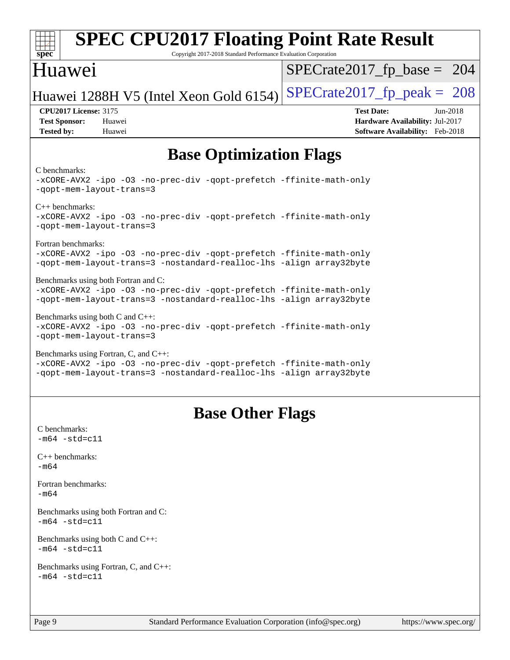| Huawei                                                                                                                                                                              | $SPECrate2017_fp\_base = 204$                                                                                |
|-------------------------------------------------------------------------------------------------------------------------------------------------------------------------------------|--------------------------------------------------------------------------------------------------------------|
| Huawei 1288H V5 (Intel Xeon Gold 6154)                                                                                                                                              | $SPECrate2017_fp\_peak = 208$                                                                                |
| <b>CPU2017 License: 3175</b><br><b>Test Sponsor:</b><br>Huawei<br><b>Tested by:</b><br>Huawei                                                                                       | <b>Test Date:</b><br>$Jun-2018$<br>Hardware Availability: Jul-2017<br><b>Software Availability:</b> Feb-2018 |
| <b>Base Optimization Flags</b>                                                                                                                                                      |                                                                                                              |
| C benchmarks:<br>-xCORE-AVX2 -ipo -03 -no-prec-div -qopt-prefetch -ffinite-math-only<br>-qopt-mem-layout-trans=3                                                                    |                                                                                                              |
| $C_{++}$ benchmarks:<br>-xCORE-AVX2 -ipo -03 -no-prec-div -qopt-prefetch -ffinite-math-only<br>-gopt-mem-layout-trans=3                                                             |                                                                                                              |
| Fortran benchmarks:<br>-xCORE-AVX2 -ipo -03 -no-prec-div -qopt-prefetch -ffinite-math-only<br>-qopt-mem-layout-trans=3 -nostandard-realloc-lhs -align array32byte                   |                                                                                                              |
| Benchmarks using both Fortran and C:<br>-xCORE-AVX2 -ipo -03 -no-prec-div -qopt-prefetch -ffinite-math-only<br>-qopt-mem-layout-trans=3 -nostandard-realloc-lhs -align array32byte  |                                                                                                              |
| Benchmarks using both $C$ and $C_{++}$ :<br>-xCORE-AVX2 -ipo -03 -no-prec-div -qopt-prefetch -ffinite-math-only<br>-qopt-mem-layout-trans=3                                         |                                                                                                              |
| Benchmarks using Fortran, C, and C++:<br>-xCORE-AVX2 -ipo -03 -no-prec-div -qopt-prefetch -ffinite-math-only<br>-qopt-mem-layout-trans=3 -nostandard-realloc-lhs -align array32byte |                                                                                                              |
| <b>Base Other Flags</b>                                                                                                                                                             |                                                                                                              |
| C benchmarks:<br>$-m64 - std= c11$                                                                                                                                                  |                                                                                                              |
| $C_{++}$ benchmarks:<br>$-m64$                                                                                                                                                      |                                                                                                              |
| Fortran benchmarks:<br>$-m64$                                                                                                                                                       |                                                                                                              |
| Benchmarks using both Fortran and C:<br>$-m64 - std= c11$                                                                                                                           |                                                                                                              |
| Benchmarks using both C and C++:<br>$-m64 - std= c11$                                                                                                                               |                                                                                                              |
| Benchmarks using Fortran, C, and C++:<br>$-m64 - std= c11$                                                                                                                          |                                                                                                              |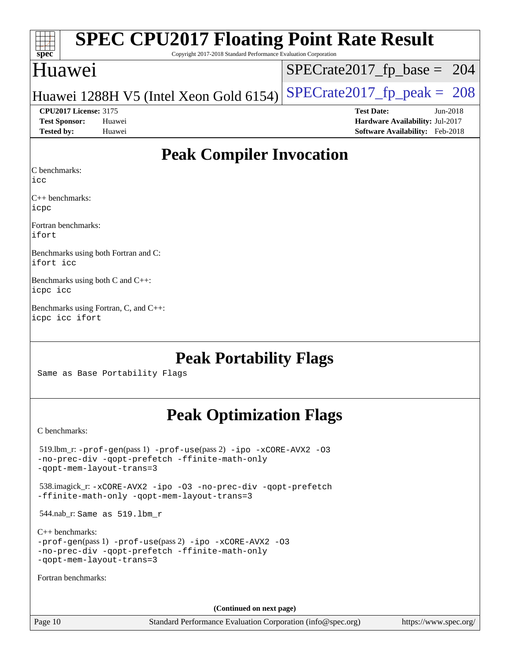| <b>SPEC CPU2017 Floating Point Rate Result</b><br>Spec<br>Copyright 2017-2018 Standard Performance Evaluation Corporation |                                 |
|---------------------------------------------------------------------------------------------------------------------------|---------------------------------|
| Huawei                                                                                                                    | $SPECrate2017_fp\_base = 204$   |
| Huawei 1288H V5 (Intel Xeon Gold 6154)                                                                                    | $SPECrate2017_fp\_peak = 208$   |
| <b>CPU2017 License: 3175</b>                                                                                              | $Jun-2018$<br><b>Test Date:</b> |
| <b>Test Sponsor:</b><br>Huawei                                                                                            | Hardware Availability: Jul-2017 |
| <b>Tested by:</b><br>Huawei                                                                                               | Software Availability: Feb-2018 |

### **[Peak Compiler Invocation](http://www.spec.org/auto/cpu2017/Docs/result-fields.html#PeakCompilerInvocation)**

[C benchmarks](http://www.spec.org/auto/cpu2017/Docs/result-fields.html#Cbenchmarks):

[icc](http://www.spec.org/cpu2017/results/res2018q2/cpu2017-20180612-06960.flags.html#user_CCpeak_intel_icc_18.0_66fc1ee009f7361af1fbd72ca7dcefbb700085f36577c54f309893dd4ec40d12360134090235512931783d35fd58c0460139e722d5067c5574d8eaf2b3e37e92)

[C++ benchmarks:](http://www.spec.org/auto/cpu2017/Docs/result-fields.html#CXXbenchmarks) [icpc](http://www.spec.org/cpu2017/results/res2018q2/cpu2017-20180612-06960.flags.html#user_CXXpeak_intel_icpc_18.0_c510b6838c7f56d33e37e94d029a35b4a7bccf4766a728ee175e80a419847e808290a9b78be685c44ab727ea267ec2f070ec5dc83b407c0218cded6866a35d07)

[Fortran benchmarks](http://www.spec.org/auto/cpu2017/Docs/result-fields.html#Fortranbenchmarks): [ifort](http://www.spec.org/cpu2017/results/res2018q2/cpu2017-20180612-06960.flags.html#user_FCpeak_intel_ifort_18.0_8111460550e3ca792625aed983ce982f94888b8b503583aa7ba2b8303487b4d8a21a13e7191a45c5fd58ff318f48f9492884d4413fa793fd88dd292cad7027ca)

[Benchmarks using both Fortran and C](http://www.spec.org/auto/cpu2017/Docs/result-fields.html#BenchmarksusingbothFortranandC): [ifort](http://www.spec.org/cpu2017/results/res2018q2/cpu2017-20180612-06960.flags.html#user_CC_FCpeak_intel_ifort_18.0_8111460550e3ca792625aed983ce982f94888b8b503583aa7ba2b8303487b4d8a21a13e7191a45c5fd58ff318f48f9492884d4413fa793fd88dd292cad7027ca) [icc](http://www.spec.org/cpu2017/results/res2018q2/cpu2017-20180612-06960.flags.html#user_CC_FCpeak_intel_icc_18.0_66fc1ee009f7361af1fbd72ca7dcefbb700085f36577c54f309893dd4ec40d12360134090235512931783d35fd58c0460139e722d5067c5574d8eaf2b3e37e92)

[Benchmarks using both C and C++:](http://www.spec.org/auto/cpu2017/Docs/result-fields.html#BenchmarksusingbothCandCXX) [icpc](http://www.spec.org/cpu2017/results/res2018q2/cpu2017-20180612-06960.flags.html#user_CC_CXXpeak_intel_icpc_18.0_c510b6838c7f56d33e37e94d029a35b4a7bccf4766a728ee175e80a419847e808290a9b78be685c44ab727ea267ec2f070ec5dc83b407c0218cded6866a35d07) [icc](http://www.spec.org/cpu2017/results/res2018q2/cpu2017-20180612-06960.flags.html#user_CC_CXXpeak_intel_icc_18.0_66fc1ee009f7361af1fbd72ca7dcefbb700085f36577c54f309893dd4ec40d12360134090235512931783d35fd58c0460139e722d5067c5574d8eaf2b3e37e92)

[Benchmarks using Fortran, C, and C++](http://www.spec.org/auto/cpu2017/Docs/result-fields.html#BenchmarksusingFortranCandCXX): [icpc](http://www.spec.org/cpu2017/results/res2018q2/cpu2017-20180612-06960.flags.html#user_CC_CXX_FCpeak_intel_icpc_18.0_c510b6838c7f56d33e37e94d029a35b4a7bccf4766a728ee175e80a419847e808290a9b78be685c44ab727ea267ec2f070ec5dc83b407c0218cded6866a35d07) [icc](http://www.spec.org/cpu2017/results/res2018q2/cpu2017-20180612-06960.flags.html#user_CC_CXX_FCpeak_intel_icc_18.0_66fc1ee009f7361af1fbd72ca7dcefbb700085f36577c54f309893dd4ec40d12360134090235512931783d35fd58c0460139e722d5067c5574d8eaf2b3e37e92) [ifort](http://www.spec.org/cpu2017/results/res2018q2/cpu2017-20180612-06960.flags.html#user_CC_CXX_FCpeak_intel_ifort_18.0_8111460550e3ca792625aed983ce982f94888b8b503583aa7ba2b8303487b4d8a21a13e7191a45c5fd58ff318f48f9492884d4413fa793fd88dd292cad7027ca)

### **[Peak Portability Flags](http://www.spec.org/auto/cpu2017/Docs/result-fields.html#PeakPortabilityFlags)**

Same as Base Portability Flags

## **[Peak Optimization Flags](http://www.spec.org/auto/cpu2017/Docs/result-fields.html#PeakOptimizationFlags)**

[C benchmarks](http://www.spec.org/auto/cpu2017/Docs/result-fields.html#Cbenchmarks):

 519.lbm\_r: [-prof-gen](http://www.spec.org/cpu2017/results/res2018q2/cpu2017-20180612-06960.flags.html#user_peakPASS1_CFLAGSPASS1_LDFLAGS519_lbm_r_prof_gen_5aa4926d6013ddb2a31985c654b3eb18169fc0c6952a63635c234f711e6e63dd76e94ad52365559451ec499a2cdb89e4dc58ba4c67ef54ca681ffbe1461d6b36)(pass 1) [-prof-use](http://www.spec.org/cpu2017/results/res2018q2/cpu2017-20180612-06960.flags.html#user_peakPASS2_CFLAGSPASS2_LDFLAGS519_lbm_r_prof_use_1a21ceae95f36a2b53c25747139a6c16ca95bd9def2a207b4f0849963b97e94f5260e30a0c64f4bb623698870e679ca08317ef8150905d41bd88c6f78df73f19)(pass 2) [-ipo](http://www.spec.org/cpu2017/results/res2018q2/cpu2017-20180612-06960.flags.html#user_peakPASS1_COPTIMIZEPASS2_COPTIMIZE519_lbm_r_f-ipo) [-xCORE-AVX2](http://www.spec.org/cpu2017/results/res2018q2/cpu2017-20180612-06960.flags.html#user_peakPASS2_COPTIMIZE519_lbm_r_f-xCORE-AVX2) [-O3](http://www.spec.org/cpu2017/results/res2018q2/cpu2017-20180612-06960.flags.html#user_peakPASS1_COPTIMIZEPASS2_COPTIMIZE519_lbm_r_f-O3) [-no-prec-div](http://www.spec.org/cpu2017/results/res2018q2/cpu2017-20180612-06960.flags.html#user_peakPASS1_COPTIMIZEPASS2_COPTIMIZE519_lbm_r_f-no-prec-div) [-qopt-prefetch](http://www.spec.org/cpu2017/results/res2018q2/cpu2017-20180612-06960.flags.html#user_peakPASS1_COPTIMIZEPASS2_COPTIMIZE519_lbm_r_f-qopt-prefetch) [-ffinite-math-only](http://www.spec.org/cpu2017/results/res2018q2/cpu2017-20180612-06960.flags.html#user_peakPASS1_COPTIMIZEPASS2_COPTIMIZE519_lbm_r_f_finite_math_only_cb91587bd2077682c4b38af759c288ed7c732db004271a9512da14a4f8007909a5f1427ecbf1a0fb78ff2a814402c6114ac565ca162485bbcae155b5e4258871) [-qopt-mem-layout-trans=3](http://www.spec.org/cpu2017/results/res2018q2/cpu2017-20180612-06960.flags.html#user_peakPASS1_COPTIMIZEPASS2_COPTIMIZE519_lbm_r_f-qopt-mem-layout-trans_de80db37974c74b1f0e20d883f0b675c88c3b01e9d123adea9b28688d64333345fb62bc4a798493513fdb68f60282f9a726aa07f478b2f7113531aecce732043) 538.imagick\_r: [-xCORE-AVX2](http://www.spec.org/cpu2017/results/res2018q2/cpu2017-20180612-06960.flags.html#user_peakCOPTIMIZE538_imagick_r_f-xCORE-AVX2) [-ipo](http://www.spec.org/cpu2017/results/res2018q2/cpu2017-20180612-06960.flags.html#user_peakCOPTIMIZE538_imagick_r_f-ipo) [-O3](http://www.spec.org/cpu2017/results/res2018q2/cpu2017-20180612-06960.flags.html#user_peakCOPTIMIZE538_imagick_r_f-O3) [-no-prec-div](http://www.spec.org/cpu2017/results/res2018q2/cpu2017-20180612-06960.flags.html#user_peakCOPTIMIZE538_imagick_r_f-no-prec-div) [-qopt-prefetch](http://www.spec.org/cpu2017/results/res2018q2/cpu2017-20180612-06960.flags.html#user_peakCOPTIMIZE538_imagick_r_f-qopt-prefetch) [-ffinite-math-only](http://www.spec.org/cpu2017/results/res2018q2/cpu2017-20180612-06960.flags.html#user_peakCOPTIMIZE538_imagick_r_f_finite_math_only_cb91587bd2077682c4b38af759c288ed7c732db004271a9512da14a4f8007909a5f1427ecbf1a0fb78ff2a814402c6114ac565ca162485bbcae155b5e4258871) [-qopt-mem-layout-trans=3](http://www.spec.org/cpu2017/results/res2018q2/cpu2017-20180612-06960.flags.html#user_peakCOPTIMIZE538_imagick_r_f-qopt-mem-layout-trans_de80db37974c74b1f0e20d883f0b675c88c3b01e9d123adea9b28688d64333345fb62bc4a798493513fdb68f60282f9a726aa07f478b2f7113531aecce732043) 544.nab\_r: Same as 519.lbm\_r [C++ benchmarks:](http://www.spec.org/auto/cpu2017/Docs/result-fields.html#CXXbenchmarks) [-prof-gen](http://www.spec.org/cpu2017/results/res2018q2/cpu2017-20180612-06960.flags.html#user_CXXpeak_prof_gen_5aa4926d6013ddb2a31985c654b3eb18169fc0c6952a63635c234f711e6e63dd76e94ad52365559451ec499a2cdb89e4dc58ba4c67ef54ca681ffbe1461d6b36)(pass 1) [-prof-use](http://www.spec.org/cpu2017/results/res2018q2/cpu2017-20180612-06960.flags.html#user_CXXpeak_prof_use_1a21ceae95f36a2b53c25747139a6c16ca95bd9def2a207b4f0849963b97e94f5260e30a0c64f4bb623698870e679ca08317ef8150905d41bd88c6f78df73f19)(pass 2) [-ipo](http://www.spec.org/cpu2017/results/res2018q2/cpu2017-20180612-06960.flags.html#user_CXXpeak_f-ipo) [-xCORE-AVX2](http://www.spec.org/cpu2017/results/res2018q2/cpu2017-20180612-06960.flags.html#user_CXXpeak_f-xCORE-AVX2) [-O3](http://www.spec.org/cpu2017/results/res2018q2/cpu2017-20180612-06960.flags.html#user_CXXpeak_f-O3) [-no-prec-div](http://www.spec.org/cpu2017/results/res2018q2/cpu2017-20180612-06960.flags.html#user_CXXpeak_f-no-prec-div) [-qopt-prefetch](http://www.spec.org/cpu2017/results/res2018q2/cpu2017-20180612-06960.flags.html#user_CXXpeak_f-qopt-prefetch) [-ffinite-math-only](http://www.spec.org/cpu2017/results/res2018q2/cpu2017-20180612-06960.flags.html#user_CXXpeak_f_finite_math_only_cb91587bd2077682c4b38af759c288ed7c732db004271a9512da14a4f8007909a5f1427ecbf1a0fb78ff2a814402c6114ac565ca162485bbcae155b5e4258871) [-qopt-mem-layout-trans=3](http://www.spec.org/cpu2017/results/res2018q2/cpu2017-20180612-06960.flags.html#user_CXXpeak_f-qopt-mem-layout-trans_de80db37974c74b1f0e20d883f0b675c88c3b01e9d123adea9b28688d64333345fb62bc4a798493513fdb68f60282f9a726aa07f478b2f7113531aecce732043) [Fortran benchmarks](http://www.spec.org/auto/cpu2017/Docs/result-fields.html#Fortranbenchmarks): **(Continued on next page)**

Page 10 Standard Performance Evaluation Corporation [\(info@spec.org\)](mailto:info@spec.org) <https://www.spec.org/>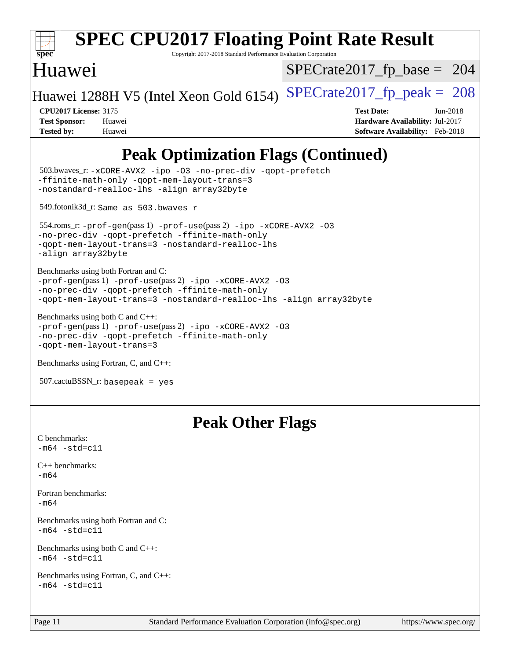

# **[SPEC CPU2017 Floating Point Rate Result](http://www.spec.org/auto/cpu2017/Docs/result-fields.html#SPECCPU2017FloatingPointRateResult)**

Copyright 2017-2018 Standard Performance Evaluation Corporation

### Huawei

[SPECrate2017\\_fp\\_base =](http://www.spec.org/auto/cpu2017/Docs/result-fields.html#SPECrate2017fpbase) 204

Huawei 1288H V5 (Intel Xeon Gold 6154) SPECrate  $2017$  fp peak = 208

**[CPU2017 License:](http://www.spec.org/auto/cpu2017/Docs/result-fields.html#CPU2017License)** 3175 **[Test Date:](http://www.spec.org/auto/cpu2017/Docs/result-fields.html#TestDate)** Jun-2018 **[Test Sponsor:](http://www.spec.org/auto/cpu2017/Docs/result-fields.html#TestSponsor)** Huawei **[Hardware Availability:](http://www.spec.org/auto/cpu2017/Docs/result-fields.html#HardwareAvailability)** Jul-2017 **[Tested by:](http://www.spec.org/auto/cpu2017/Docs/result-fields.html#Testedby)** Huawei **[Software Availability:](http://www.spec.org/auto/cpu2017/Docs/result-fields.html#SoftwareAvailability)** Feb-2018

## **[Peak Optimization Flags \(Continued\)](http://www.spec.org/auto/cpu2017/Docs/result-fields.html#PeakOptimizationFlags)**

```
 503.bwaves_r: -xCORE-AVX2 -ipo -O3 -no-prec-div -qopt-prefetch
-ffinite-math-only -qopt-mem-layout-trans=3
-nostandard-realloc-lhs -align array32byte
 549.fotonik3d_r: Same as 503.bwaves_r
 554.roms_r: -prof-gen(pass 1) -prof-use(pass 2) -ipo -xCORE-AVX2 -O3
-no-prec-div -qopt-prefetch -ffinite-math-only
-qopt-mem-layout-trans=3 -nostandard-realloc-lhs
-align array32byte
Benchmarks using both Fortran and C: 
-prof-gen(pass 1) -prof-use(pass 2) -ipo -xCORE-AVX2 -O3
-no-prec-div -qopt-prefetch -ffinite-math-only
-qopt-mem-layout-trans=3 -nostandard-realloc-lhs -align array32byte
Benchmarks using both C and C++: 
-prof-gen(pass 1) -prof-use(pass 2) -ipo -xCORE-AVX2 -O3
-no-prec-div -qopt-prefetch -ffinite-math-only
-qopt-mem-layout-trans=3
Benchmarks using Fortran, C, and C++: 
507.cactuBSSN_r: basepeak = yes
```
### **[Peak Other Flags](http://www.spec.org/auto/cpu2017/Docs/result-fields.html#PeakOtherFlags)**

```
C benchmarks: 
-m64 - std= c11C++ benchmarks: 
-m64
Fortran benchmarks: 
-m64
Benchmarks using both Fortran and C: 
-m64 - std= c11Benchmarks using both C and C++: 
-m64 - std= c11Benchmarks using Fortran, C, and C++: 
-m64 - std= c11
```